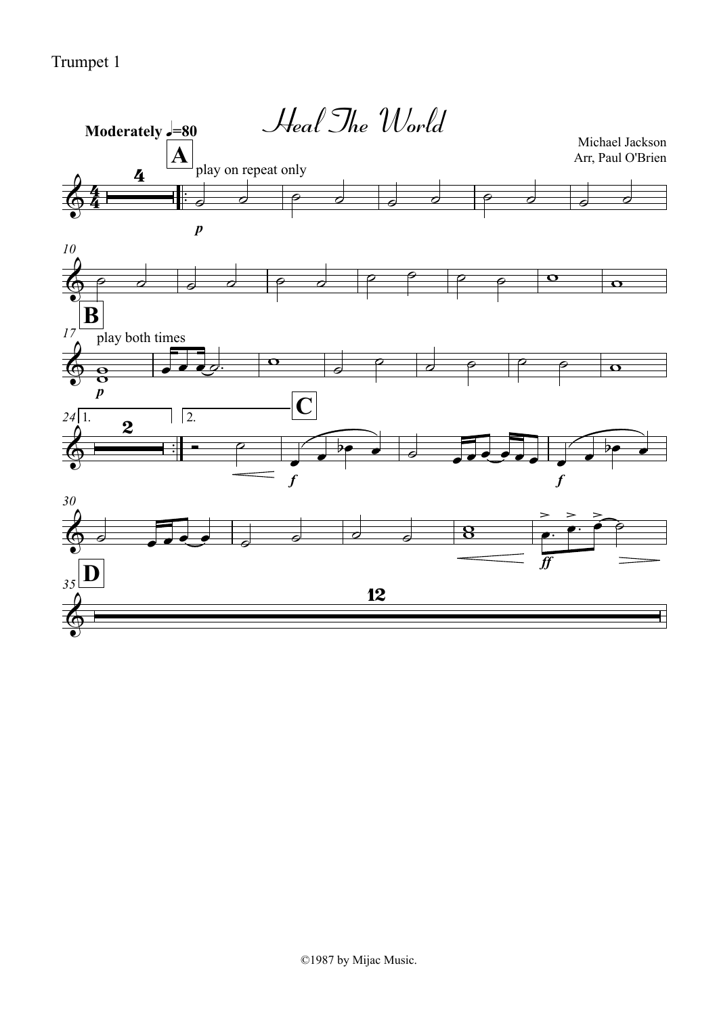Trumpet 1